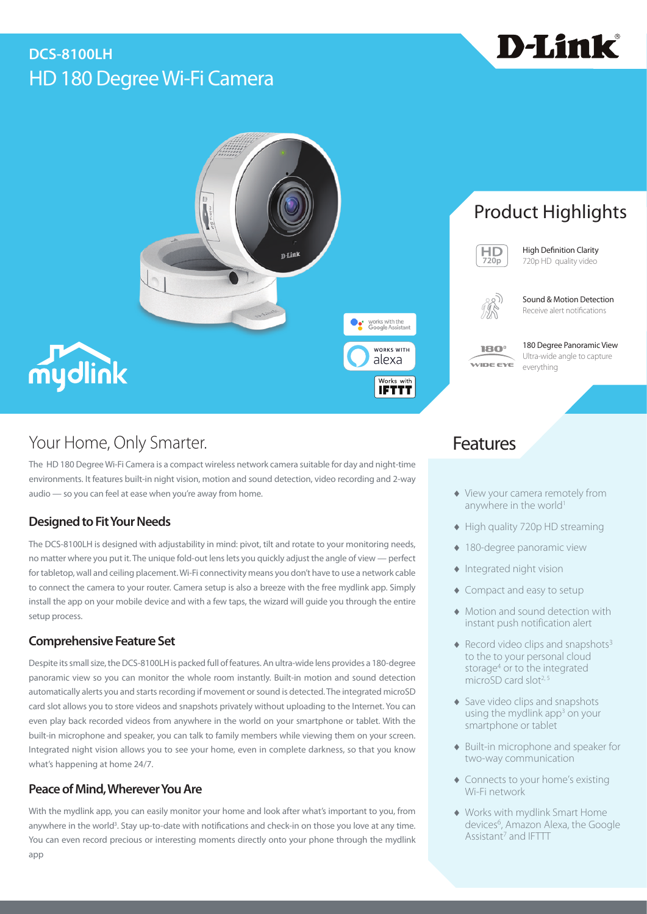# HD 180 Degree Wi-Fi Camera **DCS-8100LH**



# Product Highlights



High Definition Clarity 720p HD quality video

D-Link®



Sound & Motion Detection Receive alert notifications

180° WIDE EYE

180 Degree Panoramic View Ultra-wide angle to capture everything

# Your Home, Only Smarter. The Contract of the Contract of Teatures

The HD 180 Degree Wi-Fi Camera is a compact wireless network camera suitable for day and night-time environments. It features built-in night vision, motion and sound detection, video recording and 2-way audio — so you can feel at ease when you're away from home.

### **Designed to Fit Your Needs**

The DCS-8100LH is designed with adjustability in mind: pivot, tilt and rotate to your monitoring needs, no matter where you put it. The unique fold-out lens lets you quickly adjust the angle of view — perfect for tabletop, wall and ceiling placement. Wi-Fi connectivity means you don't have to use a network cable to connect the camera to your router. Camera setup is also a breeze with the free mydlink app. Simply install the app on your mobile device and with a few taps, the wizard will guide you through the entire setup process.

#### **Comprehensive Feature Set**

Despite its small size, the DCS-8100LH is packed full of features. An ultra-wide lens provides a 180-degree panoramic view so you can monitor the whole room instantly. Built-in motion and sound detection automatically alerts you and starts recording if movement or sound is detected. The integrated microSD card slot allows you to store videos and snapshots privately without uploading to the Internet. You can even play back recorded videos from anywhere in the world on your smartphone or tablet. With the built-in microphone and speaker, you can talk to family members while viewing them on your screen. Integrated night vision allows you to see your home, even in complete darkness, so that you know what's happening at home 24/7.

### **Peace of Mind, Wherever You Are**

With the mydlink app, you can easily monitor your home and look after what's important to you, from anywhere in the world<sup>3</sup>. Stay up-to-date with notifications and check-in on those you love at any time. You can even record precious or interesting moments directly onto your phone through the mydlink app

- ♦ View your camera remotely from anywhere in the world<sup>1</sup>
- ♦ High quality 720p HD streaming
- ♦ 180-degree panoramic view
- ♦ Integrated night vision
- ♦ Compact and easy to setup
- ♦ Motion and sound detection with instant push notification alert
- $\triangle$  Record video clips and snapshots<sup>3</sup> to the to your personal cloud storage<sup>4</sup> or to the integrated microSD card slot<sup>2, 5</sup>
- ♦ Save video clips and snapshots using the mydlink app<sup>3</sup> on your smartphone or tablet
- ♦ Built-in microphone and speaker for two-way communication
- ♦ Connects to your home's existing Wi-Fi network
- ♦ Works with mydlink Smart Home devices<sup>6</sup>, Amazon Alexa, the Google Assistant<sup>7</sup> and IFTTT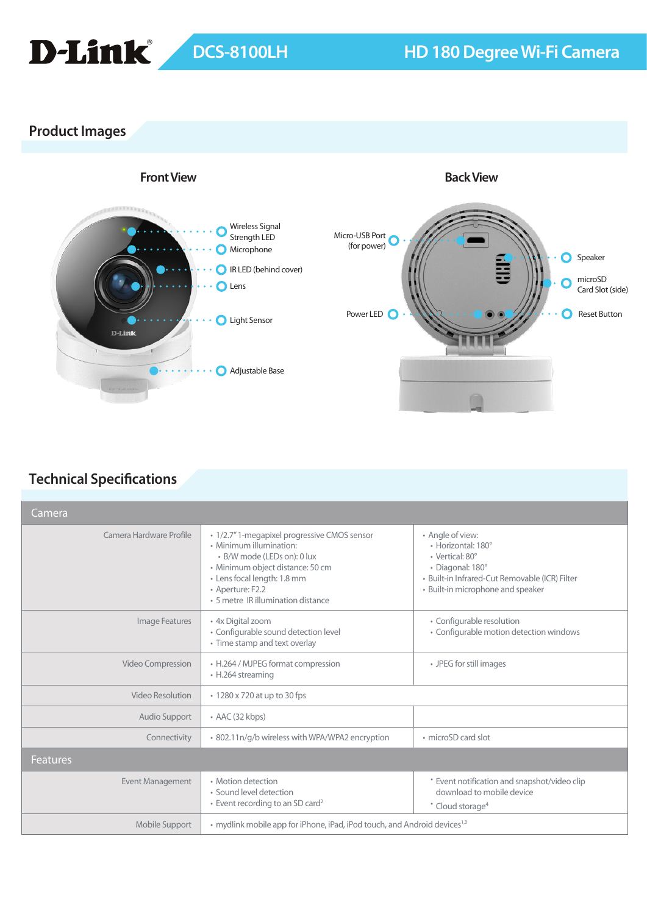

## **Product Images**



## **Technical Specifications**

| Camera                  |                                                                                                                                                                                                                                     |                                                                                                                                                                      |
|-------------------------|-------------------------------------------------------------------------------------------------------------------------------------------------------------------------------------------------------------------------------------|----------------------------------------------------------------------------------------------------------------------------------------------------------------------|
| Camera Hardware Profile | · 1/2.7" 1-megapixel progressive CMOS sensor<br>• Minimum illumination:<br>• B/W mode (LEDs on): 0 lux<br>· Minimum object distance: 50 cm<br>• Lens focal length: 1.8 mm<br>• Aperture: F2.2<br>• 5 metre IR illumination distance | • Angle of view:<br>• Horizontal: 180°<br>· Vertical: 80°<br>· Diagonal: 180°<br>· Built-in Infrared-Cut Removable (ICR) Filter<br>• Built-in microphone and speaker |
| Image Features          | • 4x Digital zoom<br>• Configurable sound detection level<br>• Time stamp and text overlay                                                                                                                                          | • Configurable resolution<br>• Configurable motion detection windows                                                                                                 |
| Video Compression       | • H.264 / MJPEG format compression<br>• H.264 streaming                                                                                                                                                                             | • JPEG for still images                                                                                                                                              |
| Video Resolution        | • 1280 x 720 at up to 30 fps                                                                                                                                                                                                        |                                                                                                                                                                      |
| Audio Support           | $\cdot$ AAC (32 kbps)                                                                                                                                                                                                               |                                                                                                                                                                      |
| Connectivity            | · 802.11n/g/b wireless with WPA/WPA2 encryption                                                                                                                                                                                     | • microSD card slot                                                                                                                                                  |
| <b>Features</b>         |                                                                                                                                                                                                                                     |                                                                                                                                                                      |
| <b>Event Management</b> | • Motion detection<br>• Sound level detection<br>$\cdot$ Event recording to an SD card <sup>2</sup>                                                                                                                                 | * Event notification and snapshot/video clip<br>download to mobile device<br>* Cloud storage <sup>4</sup>                                                            |
| Mobile Support          | • mydlink mobile app for iPhone, iPad, iPod touch, and Android devices <sup>1,3</sup>                                                                                                                                               |                                                                                                                                                                      |